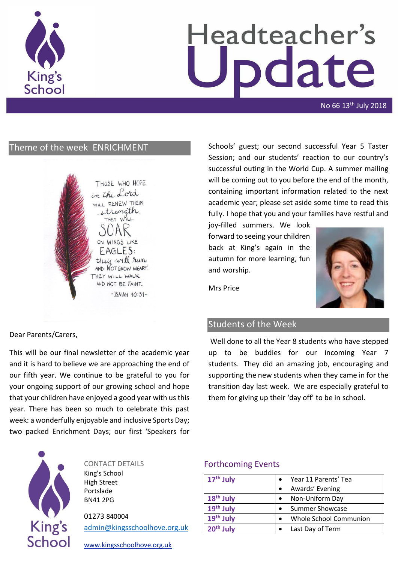

# Headteacher's odate

No 66 13<sup>th</sup> July 2018

# Theme of the week ENRICHMENT

THOSE WHO HOPE in the Lord WILL RENEW THEIR strength. THEY WILL ON WINGS LIKE  $FAGLES$ they will run AND **NOTGROW** WEARY. THEY WILL WALK AND NOT BE FAINT.  $-$ ISAIAH  $40:31-$  Schools' guest; our second successful Year 5 Taster Session; and our students' reaction to our country's successful outing in the World Cup. A summer mailing will be coming out to you before the end of the month, containing important information related to the next academic year; please set aside some time to read this fully. I hope that you and your families have restful and

joy-filled summers. We look forward to seeing your children back at King's again in the autumn for more learning, fun and worship.



Mrs Price

# Students of the Week

Well done to all the Year 8 students who have stepped up to be buddies for our incoming Year 7 students. They did an amazing job, encouraging and supporting the new students when they came in for the transition day last week. We are especially grateful to them for giving up their 'day off' to be in school.



This will be our final newsletter of the academic year and it is hard to believe we are approaching the end of our fifth year. We continue to be grateful to you for your ongoing support of our growing school and hope that your children have enjoyed a good year with us this year. There has been so much to celebrate this past week: a wonderfully enjoyable and inclusive Sports Day; two packed Enrichment Days; our first 'Speakers for



CONTACT DETAILS

King's School High Street Portslade BN41 2PG

01273 840004 [admin@kingsschoolhove.org.uk](mailto:admin@kingsschoolhove.org.uk)

[www.kingsschoolhove.org.uk](http://www.kingsschoolhove.org.uk/)

## Forthcoming Events

| $17th$ July           | Year 11 Parents' Tea   |
|-----------------------|------------------------|
|                       | Awards' Evening        |
| 18 <sup>th</sup> July | Non-Uniform Day        |
| 19th July             | <b>Summer Showcase</b> |
| 19 <sup>th</sup> July | Whole School Communion |
| 20 <sup>th</sup> July | Last Day of Term       |
|                       |                        |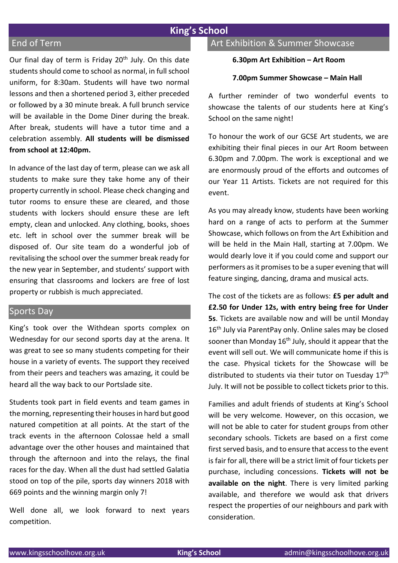## **King's School**

## End of Term

Our final day of term is Friday 20<sup>th</sup> July. On this date students should come to school as normal, in full school uniform, for 8:30am. Students will have two normal lessons and then a shortened period 3, either preceded or followed by a 30 minute break. A full brunch service will be available in the Dome Diner during the break. After break, students will have a tutor time and a celebration assembly. **All students will be dismissed from school at 12:40pm.**

In advance of the last day of term, please can we ask all students to make sure they take home any of their property currently in school. Please check changing and tutor rooms to ensure these are cleared, and those students with lockers should ensure these are left empty, clean and unlocked. Any clothing, books, shoes etc. left in school over the summer break will be disposed of. Our site team do a wonderful job of revitalising the school over the summer break ready for the new year in September, and students' support with ensuring that classrooms and lockers are free of lost property or rubbish is much appreciated.

#### Sports Day

King's took over the Withdean sports complex on Wednesday for our second sports day at the arena. It was great to see so many students competing for their house in a variety of events. The support they received from their peers and teachers was amazing, it could be heard all the way back to our Portslade site.

Students took part in field events and team games in the morning, representing their houses in hard but good natured competition at all points. At the start of the track events in the afternoon Colossae held a small advantage over the other houses and maintained that through the afternoon and into the relays, the final races for the day. When all the dust had settled Galatia stood on top of the pile, sports day winners 2018 with 669 points and the winning margin only 7!

Well done all, we look forward to next years competition.

# Art Exhibition & Summer Showcase

#### **6.30pm Art Exhibition – Art Room**

#### **7.00pm Summer Showcase – Main Hall**

A further reminder of two wonderful events to showcase the talents of our students here at King's School on the same night!

To honour the work of our GCSE Art students, we are exhibiting their final pieces in our Art Room between 6.30pm and 7.00pm. The work is exceptional and we are enormously proud of the efforts and outcomes of our Year 11 Artists. Tickets are not required for this event.

As you may already know, students have been working hard on a range of acts to perform at the Summer Showcase, which follows on from the Art Exhibition and will be held in the Main Hall, starting at 7.00pm. We would dearly love it if you could come and support our performers as it promises to be a super evening that will feature singing, dancing, drama and musical acts.

The cost of the tickets are as follows: **£5 per adult and £2.50 for Under 12s, with entry being free for Under 5s**. Tickets are available now and will be until Monday 16<sup>th</sup> July via ParentPay only. Online sales may be closed sooner than Monday  $16<sup>th</sup>$  July, should it appear that the event will sell out. We will communicate home if this is the case. Physical tickets for the Showcase will be distributed to students via their tutor on Tuesday 17<sup>th</sup> July. It will not be possible to collect tickets prior to this.

Families and adult friends of students at King's School will be very welcome. However, on this occasion, we will not be able to cater for student groups from other secondary schools. Tickets are based on a first come first served basis, and to ensure that access to the event is fair for all, there will be a strict limit of four tickets per purchase, including concessions. **Tickets will not be available on the night**. There is very limited parking available, and therefore we would ask that drivers respect the properties of our neighbours and park with consideration.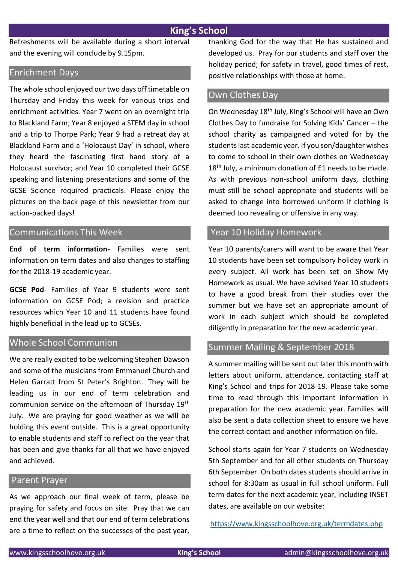## **King's School**

Refreshments will be available during a short interval and the evening will conclude by 9.15pm.

## Enrichment Days

The whole school enjoyed our two days off timetable on Thursday and Friday this week for various trips and enrichment activities. Year 7 went on an overnight trip to Blackland Farm; Year 8 enjoyed a STEM day in school and a trip to Thorpe Park; Year 9 had a retreat day at Blackland Farm and a 'Holocaust Day' in school, where they heard the fascinating first hand story of a Holocaust survivor; and Year 10 completed their GCSE speaking and listening presentations and some of the GCSE Science required practicals. Please enjoy the pictures on the back page of this newsletter from our action-packed days!

## Communications This Week

**End of term information-** Families were sent information on term dates and also changes to staffing for the 2018-19 academic year.

**GCSE Pod**- Families of Year 9 students were sent information on GCSE Pod; a revision and practice resources which Year 10 and 11 students have found highly beneficial in the lead up to GCSEs.

## Whole School Communion

We are really excited to be welcoming Stephen Dawson and some of the musicians from Emmanuel Church and Helen Garratt from St Peter's Brighton. They will be leading us in our end of term celebration and communion service on the afternoon of Thursday 19th July. We are praying for good weather as we will be holding this event outside. This is a great opportunity to enable students and staff to reflect on the year that has been and give thanks for all that we have enjoyed and achieved.

#### Parent Prayer

As we approach our final week of term, please be praying for safety and focus on site. Pray that we can end the year well and that our end of term celebrations are a time to reflect on the successes of the past year,

thanking God for the way that He has sustained and developed us. Pray for our students and staff over the holiday period; for safety in travel, good times of rest, positive relationships with those at home.

#### Own Clothes Day

On Wednesday 18th July, King's School will have an Own Clothes Day to fundraise for Solving Kids' Cancer – the school charity as campaigned and voted for by the students last academic year. If you son/daughter wishes to come to school in their own clothes on Wednesday 18<sup>th</sup> July, a minimum donation of £1 needs to be made. As with previous non-school uniform days, clothing must still be school appropriate and students will be asked to change into borrowed uniform if clothing is deemed too revealing or offensive in any way.

## Year 10 Holiday Homework

Year 10 parents/carers will want to be aware that Year 10 students have been set compulsory holiday work in every subject. All work has been set on Show My Homework as usual. We have advised Year 10 students to have a good break from their studies over the summer but we have set an appropriate amount of work in each subject which should be completed diligently in preparation for the new academic year.

## Summer Mailing & September 2018

A summer mailing will be sent out later this month with letters about uniform, attendance, contacting staff at King's School and trips for 2018-19. Please take some time to read through this important information in preparation for the new academic year. Families will also be sent a data collection sheet to ensure we have the correct contact and another information on file.

School starts again for Year 7 students on Wednesday 5th September and for all other students on Thursday 6th September. On both dates students should arrive in school for 8:30am as usual in full school uniform. Full term dates for the next academic year, including INSET dates, are available on our website:

<https://www.kingsschoolhove.org.uk/termdates.php>